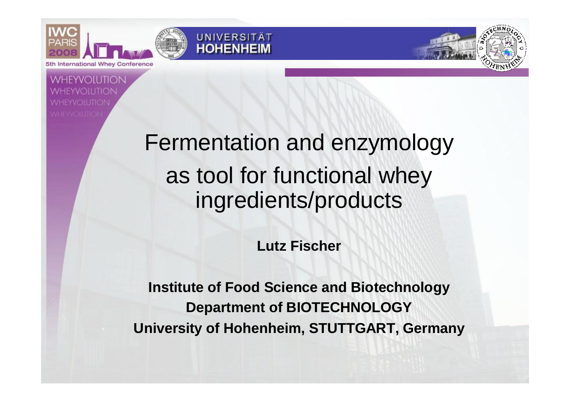**International Whey Conference** 



**HEYVOILITION** 

# Fermentation and enzymology as tool for functional whey ingredients/products

**Lutz Fischer**

**Institute of Food Science and Biotechnology Department of BIOTECHNOLOGY University of Hohenheim, STUTTGART, Germany**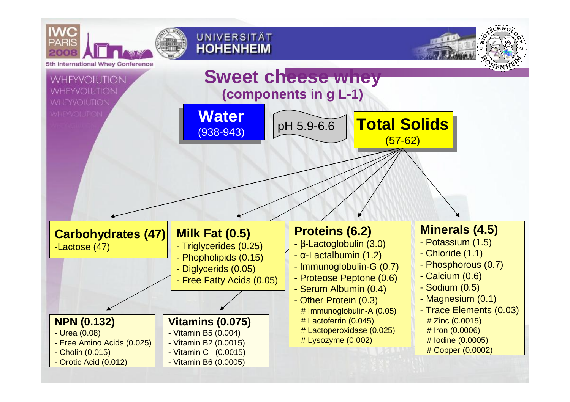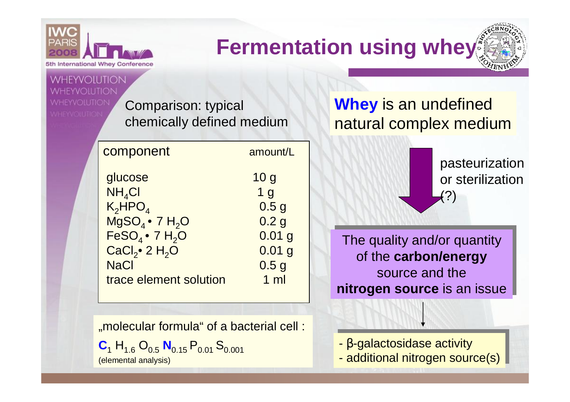

**WHEYVOILITION** 

## **Fermentation using whey**

Comparison: typical chemically defined medium

| component                                 | amount/L                             |  |  |
|-------------------------------------------|--------------------------------------|--|--|
| glucose                                   | 10 <sub>g</sub>                      |  |  |
| $NH_4Cl$                                  | 1 <sub>q</sub>                       |  |  |
| $K_2HPO4$<br>$MgSO4$ • 7 H <sub>2</sub> O | 0.5 <sub>g</sub><br>0.2 <sub>g</sub> |  |  |
| $FeSO4$ • 7 H <sub>2</sub> O              | $0.01$ g                             |  |  |
| $CaCl2$ 2 H <sub>2</sub> O                | 0.01 <sub>g</sub>                    |  |  |
| <b>NaCl</b>                               | 0.5 <sub>g</sub>                     |  |  |
| trace element solution                    | $1 \text{ ml}$                       |  |  |
|                                           |                                      |  |  |

"molecular formula" of a bacterial cell :

 $C_1$  H<sub>1.6</sub> O<sub>0.5</sub> N<sub>0.15</sub> P<sub>0.01</sub> S<sub>0.001</sub> (elemental analysis)

#### **Whey** is an undefined natural complex medium

pasteurization or sterilization (?)

The quality and/or quantity The quality and/or quantity of the **carbon/energy** of the **carbon/energy** source and the **nitrogen source** is an issue **nitrogen source** is an issue

- *b*-galactosidase activity - *b*-galactosidase activity

- additional nitrogen source(s) - additional nitrogen source(s)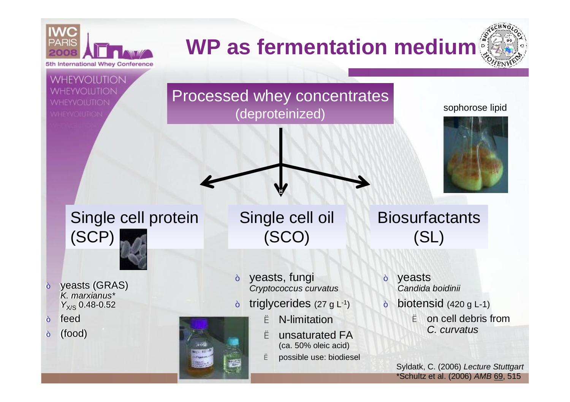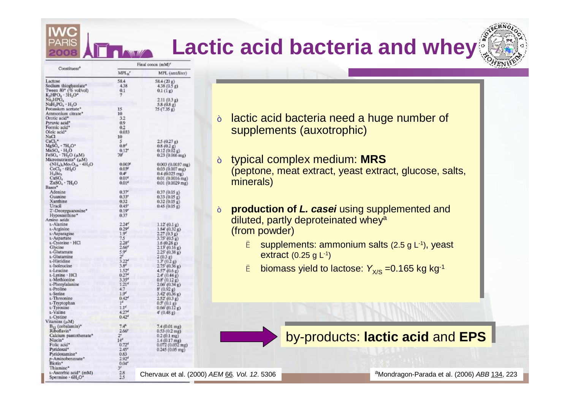## **Lactic acid bacteria and whey**

|                                                     | Final concn (mM)* |                                                |  |  |
|-----------------------------------------------------|-------------------|------------------------------------------------|--|--|
| Constituent <sup>®</sup>                            | MPL <sub>8</sub>  | MPL (amt/liter)                                |  |  |
| Lactose                                             | 58.4              | 58.4(20 g)                                     |  |  |
| Sodium thioglycolate*                               | 4.38              | 4.38(0.5g)                                     |  |  |
| Tween $80^{\circ}$ (% vol/vol)                      | 0.1               | 0.1(1g)                                        |  |  |
| $K_2HPO_4 - 3H_2O^*$                                | 7                 |                                                |  |  |
| Na <sub>2</sub> HPO <sub>4</sub>                    |                   | 2.11(0.3g)                                     |  |  |
| NaH <sub>2</sub> PO <sub>4</sub> · H <sub>2</sub> O |                   | 5.8 (0.8 g)                                    |  |  |
| Potassium acetate*                                  | 15                | 75(7.35g)                                      |  |  |
| Ammonium citrate*                                   | 10                |                                                |  |  |
| Orotic acid <sup>*</sup>                            | 3.2               |                                                |  |  |
| Pyruvic acid <sup>®</sup>                           | 0.9               |                                                |  |  |
| Formic acid <sup>*</sup>                            | 0.2               |                                                |  |  |
| Oleic acid*                                         | 0.033             |                                                |  |  |
| NaCl                                                | 10                |                                                |  |  |
| CaCl <sub>2</sub>                                   | 5                 | 2.5(0.27g)                                     |  |  |
| $MgSO4 \cdot 7H2O*$                                 | 0.8 <sup>d</sup>  | 0.8(0.2 g)                                     |  |  |
| MnSO <sub>4</sub> · H <sub>2</sub> O                | $0.12^{c}$        | 0.12(0.02g)                                    |  |  |
| $FeSO4 \cdot 7H2O (µM)$                             | 70V               | $0.23(0.066$ mg)                               |  |  |
| Micronutrients* (µM)                                |                   |                                                |  |  |
| $(NH_4)_6M_0$ , $O_{24} \cdot 4H_2O$                | 0.0035            | $0.003(0.0037)$ mg)                            |  |  |
| CoCl <sub>2</sub> · 6H <sub>2</sub> O               | 0.03 <sup>o</sup> | $0.03(0.007$ mg)                               |  |  |
| $H_3Bo_1$                                           | $0.4^{p}$         | $0.4(0.025 \text{ mg})$                        |  |  |
| CuSO <sub>4</sub>                                   | 0.01 <sup>K</sup> | $0.01(0.0016$ mg)                              |  |  |
| $ZnSO4 - 7H2O$                                      | $0.01^{a}$        | 0.01 (0.0029 mg)                               |  |  |
| Bases*                                              |                   |                                                |  |  |
| Adenine                                             | 0.37 <sup>o</sup> | 0.37(0.05 g)                                   |  |  |
| Guanine                                             | 0.33''            | 0.33(0.05 g)                                   |  |  |
| Xanthine                                            | 0.32              | 0.32(0.05 g)                                   |  |  |
| Uracil                                              | $0.45^{o}$        | 0.45(0.05g)                                    |  |  |
| 2'-Deoxyguanosine*                                  | 0.19''            |                                                |  |  |
| Hypoxanthine*                                       | 0.37              |                                                |  |  |
| Amino acids                                         |                   |                                                |  |  |
| t-Alanine                                           | 2.24''            | $1.12^{r} (0.1 g)$                             |  |  |
| 1-Arginine                                          | $0.29^{d}$        | $1.84'$ (0.32 g)                               |  |  |
| t.-Asparagine                                       | $1.9^{d}$         | 2.27(0.3 g)                                    |  |  |
| L-Aspartate                                         | 7.5               | 3.75'(0.5 g)                                   |  |  |
| L-Cysteine - HCl                                    | $2.28^{d}$        | 1.6(0.28 g)                                    |  |  |
| Glycine                                             | 2.66 <sup>d</sup> | 2.13' (0.16 g)<br>2.25' (0.38 g)               |  |  |
| L-Glutamate                                         | 5.94              |                                                |  |  |
| L-Glutamine                                         | $2^{\epsilon}$    | 2(0.3g)                                        |  |  |
| L-Histidine                                         | $3.22^{d}$        | $1.3^{i}$ (0.2 g)                              |  |  |
| 1-Isoleucine                                        | $3.8^{d}$         | 2.75'(0.36 g)                                  |  |  |
| L-Leucine                                           | 1.52 <sup>d</sup> | 4.57 (0.6 g)                                   |  |  |
| t-Lysine · HCl                                      | $0.27^{d}$        | 2.4'(0.44 g)                                   |  |  |
| L-Methionine                                        | $3.35^{4}$        | 0.8' (0.12 g)                                  |  |  |
| t-Phenylalanine                                     | 1.21 <sup>d</sup> | 2.06'(0.34 g)                                  |  |  |
| L-Proline                                           | 4.7               | 8' (0.92 g)<br>3.42' (0.36 g)<br>2.52' (0.3 g) |  |  |
| L-Serine                                            | 1.9 <sup>d</sup>  |                                                |  |  |
| L-Threonine                                         | 0.42 <sup>d</sup> |                                                |  |  |
| t-Tryptophan                                        | 1 <sup>4</sup>    | 0.5' (0.1 g)                                   |  |  |
| L-Tyrosine                                          | 1.1 <sup>d</sup>  | 0.66'(0.12 g)                                  |  |  |
| L-Valine                                            | 4.27 <sup>d</sup> | 4'(0.48g)                                      |  |  |
| L-Cystine                                           | $0.42^{d}$        |                                                |  |  |
| itamins (µM)                                        |                   |                                                |  |  |
| $B_{12}$ (cobalamin) <sup>*</sup>                   | 7.4 <sup>k</sup>  | 7.4 (0.01 mg)                                  |  |  |
| Riboflavin*                                         | 2.66''            | $0.53(0.2$ mg)                                 |  |  |
| Calcium pantothenate*                               | $2^e$             | $0.2(0.1$ mg)                                  |  |  |
| Niacin*                                             | 14 <sup>d</sup>   | $1.4(0.17 \text{ mg})$                         |  |  |
| Folic acid <sup>*</sup>                             | $0.72^{d}$        | 0.072 (0.032 mg)                               |  |  |
| Pyridoxal*                                          | 2.45''            | 0.245 (0.05 mg)                                |  |  |
| Pyridoxamine*                                       | 0.83              |                                                |  |  |
| p-Aminobenzoate*                                    | $2.92^{d}$        |                                                |  |  |
| Biotin*                                             | 0.04''            |                                                |  |  |
| Thiamine*                                           | 3ª                |                                                |  |  |
| t-Ascorbic acid* (mM)                               | 2.8               | Chervaux et al. (                              |  |  |
| Spermine · 6H.O'                                    | 25                |                                                |  |  |

- ˜ lactic acid bacteria need a huge number of ˜ lactic acid bacteria need a huge number of supplements (auxotrophic) supplements (auxotrophic)
- ˜ typical complex medium: **MRS** ˜ typical complex medium: **MRS** (peptone, meat extract, yeast extract, glucose, salts, (peptone, meat extract, yeast extract, glucose, salts, minerals) minerals)
- ˜ **production of** *L. casei* using supplemented and ˜ **production of** *L. casei* using supplemented and production of *E. caser* dang supprenticities. (from powder) (from powder)
	- è supplements: ammonium salts (2.5 g L-1), yeast è supplements: ammonium salts (2.5 g L-1), yeast extract (0.25 g L-1) extract (0.25 g L-1)
	- <sup>è</sup> biomass yield to lactose: *Y*X/S =0.165 kg kg-1 <sup>è</sup> biomass yield to lactose: *Y*X/S =0.165 kg kg-1

by-products: lactic acid and EPS

Chervaux et al. (2000) *AEM* 66*. Vol. 12*. 5306

<sup>a</sup>Mondragon-Parada et al. (2006) *ABB* 134, 223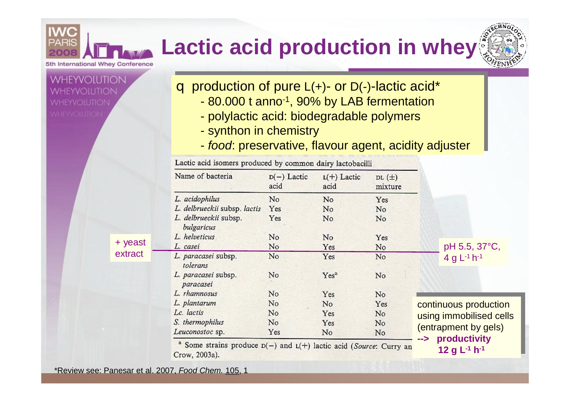#### **Lactic acid production in whey**5th International Whey Conference



q production of pure L(+)- or D(-)-lactic acid\* q production of pure L(+)- or D(-)-lactic acid\*

- 80.000 t anno-1 , 90% by LAB fermentation 80.000 t anno-1 , 90% by LAB fermentation
- polylactic acid: biodegradable polymers polylactic acid: biodegradable polymers
- synthon in chemistry synthon in chemistry
- *food*: preservative, flavour agent, acidity adjuster *food*: preservative, flavour agent, acidity adjuster

|                    | Lactic acid isomers produced by common dairy lactobacilli                                          |                       |                       |                      |                                                      |  |
|--------------------|----------------------------------------------------------------------------------------------------|-----------------------|-----------------------|----------------------|------------------------------------------------------|--|
|                    | Name of bacteria                                                                                   | $D(-)$ Lactic<br>acid | $L(+)$ Lactic<br>acid | $DL(\pm)$<br>mixture |                                                      |  |
|                    | L. acidophilus                                                                                     | No                    | No                    | Yes                  |                                                      |  |
|                    | L. delbrueckii subsp. lactis                                                                       | Yes                   | No                    | No                   |                                                      |  |
|                    | L. delbrueckii subsp.<br>bulgaricus                                                                | Yes                   | No                    | No                   |                                                      |  |
| + yeast<br>extract | L. helveticus                                                                                      | No                    | N <sub>o</sub>        | Yes                  |                                                      |  |
|                    | L. casei                                                                                           | No                    | Yes                   | No                   | pH 5.5, 37°C,                                        |  |
|                    | L. paracasei subsp.<br>tolerans                                                                    | No                    | Yes                   | No                   | 4 g $L^{-1}$ h <sup>-1</sup>                         |  |
|                    | L. paracasei subsp.<br>paracasei                                                                   | No.                   | Yes <sup>a</sup>      | No                   |                                                      |  |
|                    | L. rhamnosus                                                                                       | No                    | Yes                   | No                   |                                                      |  |
|                    | L. plantarum                                                                                       | No                    | No                    | Yes                  | continuous production                                |  |
|                    | Lc. lactis                                                                                         | No                    | Yes                   | No.                  | using immobilised cells                              |  |
|                    | S. thermophilus                                                                                    | No                    | Yes                   | No                   |                                                      |  |
|                    | Leuconostoc sp.                                                                                    | Yes                   | No                    | No                   | (entrapment by gels)                                 |  |
|                    | <sup>a</sup> Some strains produce $D(-)$ and $L(+)$ lactic acid (Source: Curry an<br>Crow, 2003a). |                       |                       |                      | productivity<br>--><br>12 g $L^{-1}$ h <sup>-1</sup> |  |

\*Review see: Panesar et al. 2007, *Food Chem.* 105, 1

 $+$   $'$ 

HEYVOILITION

*i* vheyvolution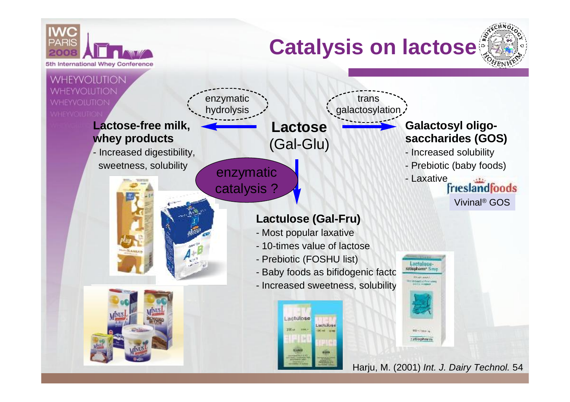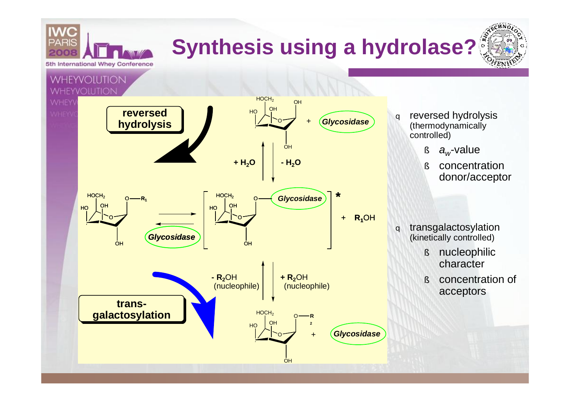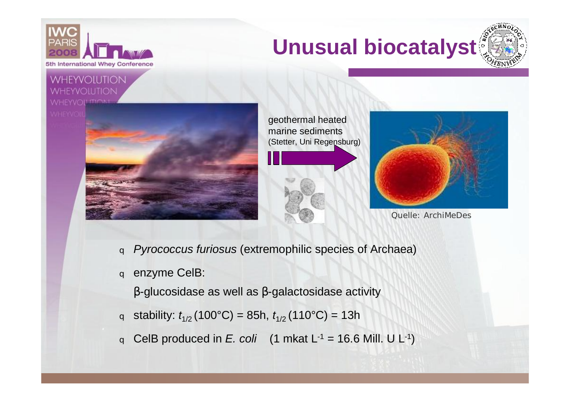





### **WHEYVOILITION**





geothermal heated marine sediments (Stetter, Uni Regensburg)





Quelle: ArchiMeDes

- q *Pyrococcus furiosus* (extremophilic species of Archaea)
- q enzyme CelB:

*b*-glucosidase as well as *b*-galactosidase activity

- q stability:  $t_{1/2}$  (100°C) = 85h,  $t_{1/2}$  (110°C) = 13h
- q CelB produced in *E. coli*  $(1 \text{ mkat } L^{-1} = 16.6 \text{ Mill. } U L^{-1})$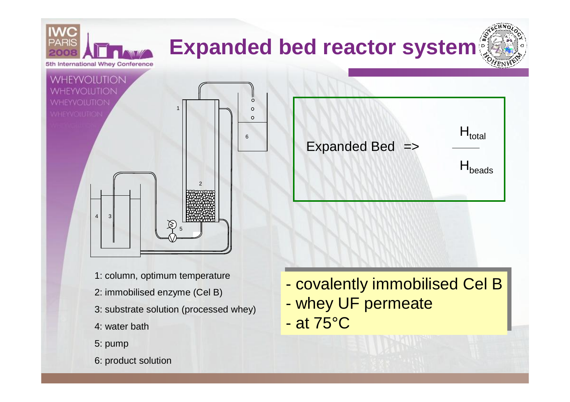

- whey UF permeate - whey UF permeate

- at 75°C - at 75°C

- 2: immobilised enzyme (Cel B)
- 3: substrate solution (processed whey)
- 4: water bath
- 5: pump
- 6: product solution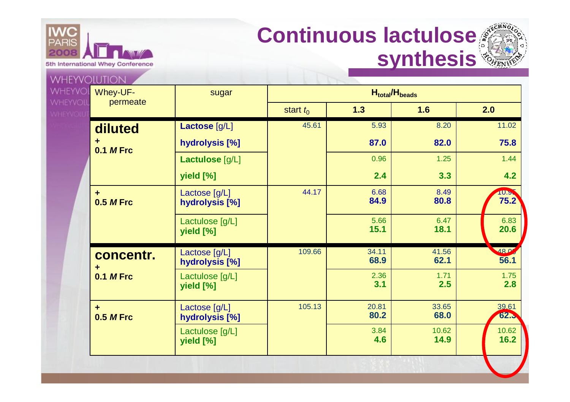

### **Continuous lactulose synthesis**



| Whey-UF-                                 | sugar                           |             |               |               |               |
|------------------------------------------|---------------------------------|-------------|---------------|---------------|---------------|
| permeate                                 |                                 | start $t_0$ | 1.3           | 1.6           | 2.0           |
| diluted                                  | Lactose [g/L]                   | 45.61       | 5.93          | 8.20          | 11.02         |
| ٠<br><b>0.1 M Frc</b>                    | hydrolysis [%]                  |             | 87.0          | 82.0          | 75.8          |
|                                          | Lactulose [g/L]                 |             | 0.96          | 1.25          | 1.44          |
|                                          | yield [%]                       |             | 2.4           | 3.3           | 4.2           |
| $\ddot{\phantom{1}}$<br><b>0.5 M Frc</b> | Lactose [g/L]<br>hydrolysis [%] | 44.17       | 6.68<br>84.9  | 8.49<br>80.8  | 10.5<br>75.2  |
|                                          | Lactulose [g/L]<br>yield [%]    |             | 5.66<br>15.1  | 6.47<br>18.1  | 6.83<br>20.6  |
| concentr.<br>٠<br><b>0.1 M Frc</b>       | Lactose [g/L]<br>hydrolysis [%] | 109.66      | 34.11<br>68.9 | 41.56<br>62.1 | 180<br>56.1   |
|                                          | Lactulose [g/L]<br>yield [%]    |             | 2.36<br>3.1   | 1.71<br>2.5   | 1.75<br>2.8   |
| ÷<br><b>0.5 M Frc</b>                    | Lactose [g/L]<br>hydrolysis [%] | 105.13      | 20.81<br>80.2 | 33.65<br>68.0 | 39.61<br>62.3 |
|                                          | Lactulose [g/L]<br>yield [%]    |             | 3.84<br>4.6   | 10.62<br>14.9 | 10.62<br>16.2 |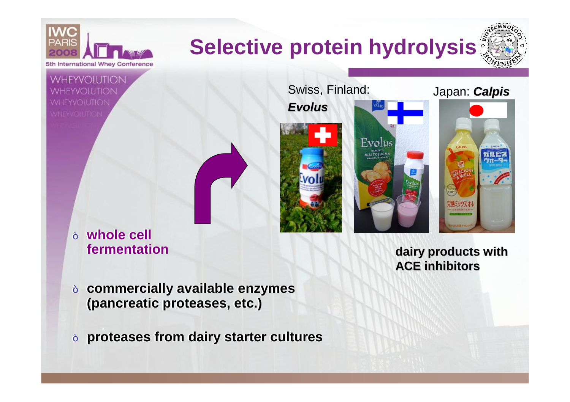

**fermentation fermentation**

**dairy products with ACE inhibitors**

- ˜ **commercially available enzymes** ˜ **commercially available enzymes (pancreatic proteases, etc.) (pancreatic proteases, etc.)**
- ˜ **proteases from dairy starter cultures** ˜ **proteases from dairy starter cultures**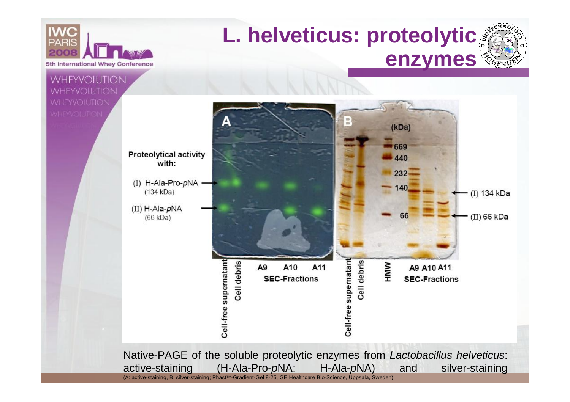

### **L. helveticus: proteolytic enzymes**

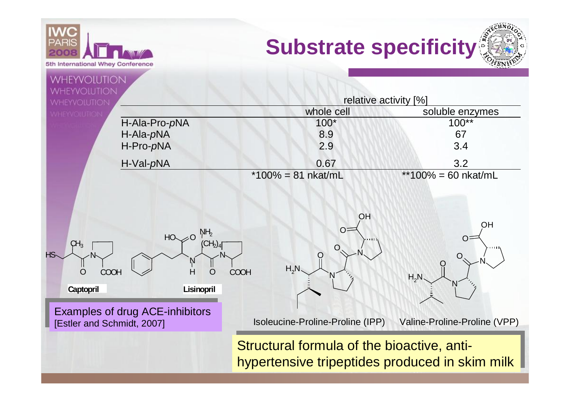



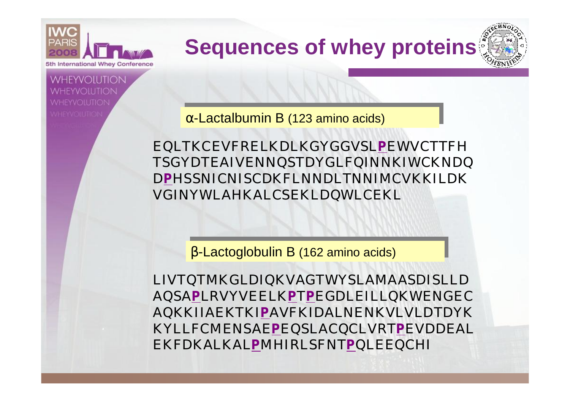

WHEYVOILITION

**VHEYVOILITIOI** 

# **Sequences of whey proteins**

*a*-Lactalbumin B (123 amino acids)

EQLTKCEVFRELKDLKGYGGVSL**P**EWVCTTFH TSGYDTEAIVENNQSTDYGLFQINNKIWCKNDQ D**P**HSSNICNISCDKFLNNDLTNNIMCVKKILDK VGINYWLAHKALCSEKLDQWLCEKL

*b*-Lactoglobulin B (162 amino acids) *b*-Lactoglobulin B (162 amino acids)

LIVTQTMKGLDIQKVAGTWYSLAMAASDISLLD AQSA**P**LRVYVEELK**P**T**P**EGDLEILLQKWENGEC AQKKIIAEKTKI**P**AVFKIDALNENKVLVLDTDYK KYLLFCMENSAE**P**EQSLACQCLVRT**P**EVDDEAL EKFDKALKAL**P**MHIRLSFNT**P**QLEEQCHI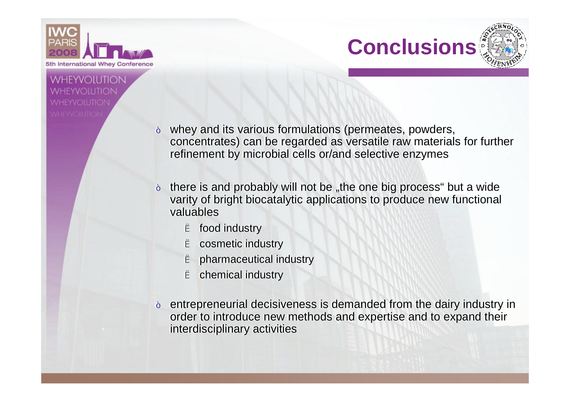

#### **WHEYVOILITION** *i* vheyvoilitioi



- ˜ whey and its various formulations (permeates, powders, ˜ whey and its various formulations (permeates, powders, concentrates) can be regarded as versatile raw materials for further concentrates) can be regarded as versatile raw materials for further refinement by microbial cells or/and selective enzymes refinement by microbial cells or/and selective enzymes
- $\sim$  there is and probably will not be "the one big process" but a wide varity of bright biocatalytic applications to produce new functional varity of bright biocatalytic applications to produce new functional valuables valuables
	- è food industry è food industry
	- è cosmetic industry è cosmetic industry
	- è pharmaceutical industry è pharmaceutical industry
	- è chemical industry è chemical industry
- ˜ entrepreneurial decisiveness is demanded from the dairy industry in ˜ entrepreneurial decisiveness is demanded from the dairy industry in order to introduce new methods and expertise and to expand their interdisciplinary activities interdisciplinary activities